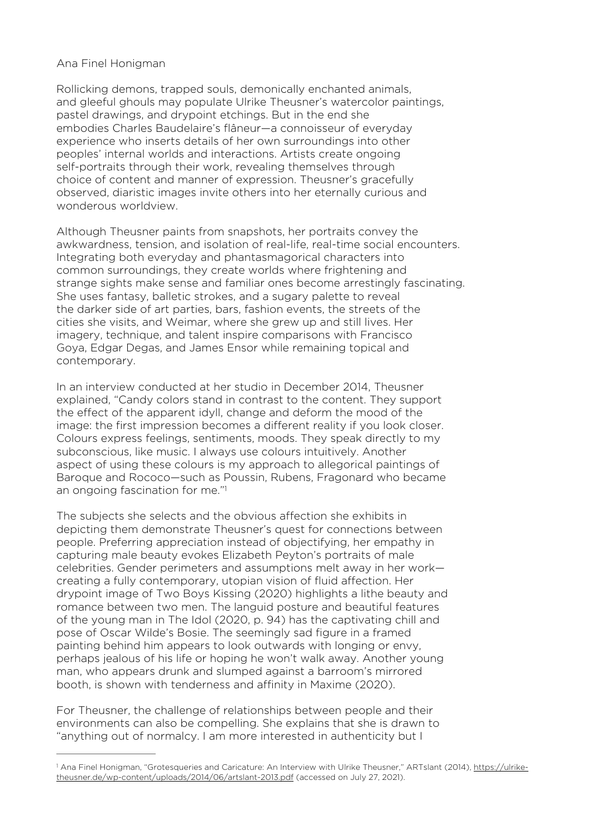## Ana Finel Honigman

Rollicking demons, trapped souls, demonically enchanted animals, and gleeful ghouls may populate Ulrike Theusner's watercolor paintings, pastel drawings, and drypoint etchings. But in the end she embodies Charles Baudelaire's flâneur—a connoisseur of everyday experience who inserts details of her own surroundings into other peoples' internal worlds and interactions. Artists create ongoing self-portraits through their work, revealing themselves through choice of content and manner of expression. Theusner's gracefully observed, diaristic images invite others into her eternally curious and wonderous worldview.

Although Theusner paints from snapshots, her portraits convey the awkwardness, tension, and isolation of real-life, real-time social encounters. Integrating both everyday and phantasmagorical characters into common surroundings, they create worlds where frightening and strange sights make sense and familiar ones become arrestingly fascinating. She uses fantasy, balletic strokes, and a sugary palette to reveal the darker side of art parties, bars, fashion events, the streets of the cities she visits, and Weimar, where she grew up and still lives. Her imagery, technique, and talent inspire comparisons with Francisco Goya, Edgar Degas, and James Ensor while remaining topical and contemporary.

In an interview conducted at her studio in December 2014, Theusner explained, "Candy colors stand in contrast to the content. They support the effect of the apparent idyll, change and deform the mood of the image: the first impression becomes a different reality if you look closer. Colours express feelings, sentiments, moods. They speak directly to my subconscious, like music. I always use colours intuitively. Another aspect of using these colours is my approach to allegorical paintings of Baroque and Rococo—such as Poussin, Rubens, Fragonard who became an ongoing fascination for me."[1](#page-0-0)

<span id="page-0-1"></span>The subjects she selects and the obvious affection she exhibits in depicting them demonstrate Theusner's quest for connections between people. Preferring appreciation instead of objectifying, her empathy in capturing male beauty evokes Elizabeth Peyton's portraits of male celebrities. Gender perimeters and assumptions melt away in her work creating a fully contemporary, utopian vision of fluid affection. Her drypoint image of Two Boys Kissing (2020) highlights a lithe beauty and romance between two men. The languid posture and beautiful features of the young man in The Idol (2020, p. 94) has the captivating chill and pose of Oscar Wilde's Bosie. The seemingly sad figure in a framed painting behind him appears to look outwards with longing or envy, perhaps jealous of his life or hoping he won't walk away. Another young man, who appears drunk and slumped against a barroom's mirrored booth, is shown with tenderness and affinity in Maxime (2020).

For Theusner, the challenge of relationships between people and their environments can also be compelling. She explains that she is drawn to "anything out of normalcy. I am more interested in authenticity but I

<span id="page-0-0"></span><sup>&</sup>lt;sup>1</sup> Ana Finel Honigman, "Grotesqueries and Caricature: An Interview with Ulrike Theusner," ARTslant (2014), [https://ulrike](https://ulrike-theusner.de/wp-content/uploads/2014/06/artslant-2013.pdf) [theusner.de/wp-content/uploads/2014/06/artslant-2013.pdf](https://ulrike-theusner.de/wp-content/uploads/2014/06/artslant-2013.pdf) (accessed on July 27, 2021).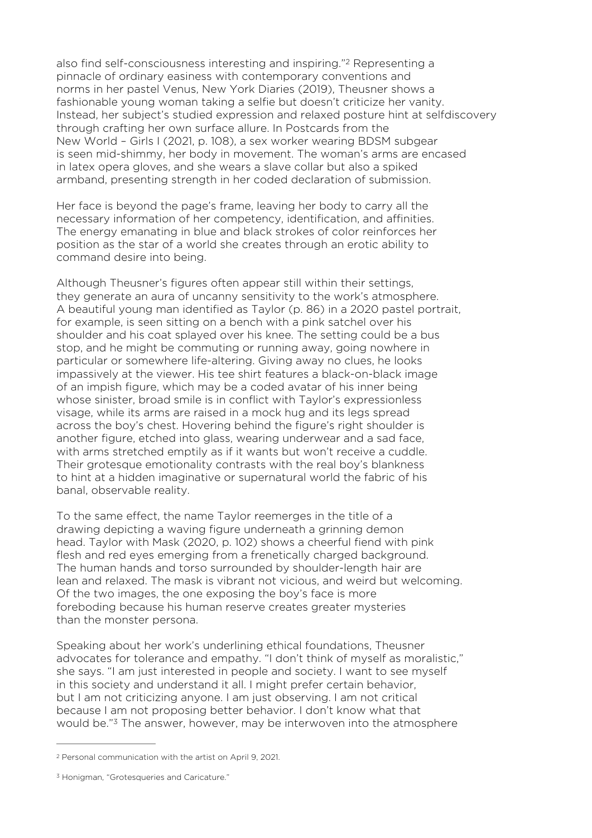<span id="page-1-2"></span>also find self-consciousness interesting and inspiring."[2](#page-1-0) Representing a pinnacle of ordinary easiness with contemporary conventions and norms in her pastel Venus, New York Diaries (2019), Theusner shows a fashionable young woman taking a selfie but doesn't criticize her vanity. Instead, her subject's studied expression and relaxed posture hint at selfdiscovery through crafting her own surface allure. In Postcards from the New World – Girls I (2021, p. 108), a sex worker wearing BDSM subgear is seen mid-shimmy, her body in movement. The woman's arms are encased in latex opera gloves, and she wears a slave collar but also a spiked armband, presenting strength in her coded declaration of submission.

Her face is beyond the page's frame, leaving her body to carry all the necessary information of her competency, identification, and affinities. The energy emanating in blue and black strokes of color reinforces her position as the star of a world she creates through an erotic ability to command desire into being.

Although Theusner's figures often appear still within their settings, they generate an aura of uncanny sensitivity to the work's atmosphere. A beautiful young man identified as Taylor (p. 86) in a 2020 pastel portrait, for example, is seen sitting on a bench with a pink satchel over his shoulder and his coat splayed over his knee. The setting could be a bus stop, and he might be commuting or running away, going nowhere in particular or somewhere life-altering. Giving away no clues, he looks impassively at the viewer. His tee shirt features a black-on-black image of an impish figure, which may be a coded avatar of his inner being whose sinister, broad smile is in conflict with Taylor's expressionless visage, while its arms are raised in a mock hug and its legs spread across the boy's chest. Hovering behind the figure's right shoulder is another figure, etched into glass, wearing underwear and a sad face, with arms stretched emptily as if it wants but won't receive a cuddle. Their grotesque emotionality contrasts with the real boy's blankness to hint at a hidden imaginative or supernatural world the fabric of his banal, observable reality.

To the same effect, the name Taylor reemerges in the title of a drawing depicting a waving figure underneath a grinning demon head. Taylor with Mask (2020, p. 102) shows a cheerful fiend with pink flesh and red eyes emerging from a frenetically charged background. The human hands and torso surrounded by shoulder-length hair are lean and relaxed. The mask is vibrant not vicious, and weird but welcoming. Of the two images, the one exposing the boy's face is more foreboding because his human reserve creates greater mysteries than the monster persona.

Speaking about her work's underlining ethical foundations, Theusner advocates for tolerance and empathy. "I don't think of myself as moralistic," she says. "I am just interested in people and society. I want to see myself in this society and understand it all. I might prefer certain behavior, but I am not criticizing anyone. I am just observing. I am not critical because I am not proposing better behavior. I don't know what that would be."[3](#page-1-1) The answer, however, may be interwoven into the atmosphere

<span id="page-1-3"></span><span id="page-1-0"></span><sup>&</sup>lt;sup>[2](#page-1-2)</sup> Personal communication with the artist on April 9, 2021.

<span id="page-1-1"></span><sup>&</sup>lt;sup>[3](#page-1-3)</sup> Honigman, "Grotesqueries and Caricature."